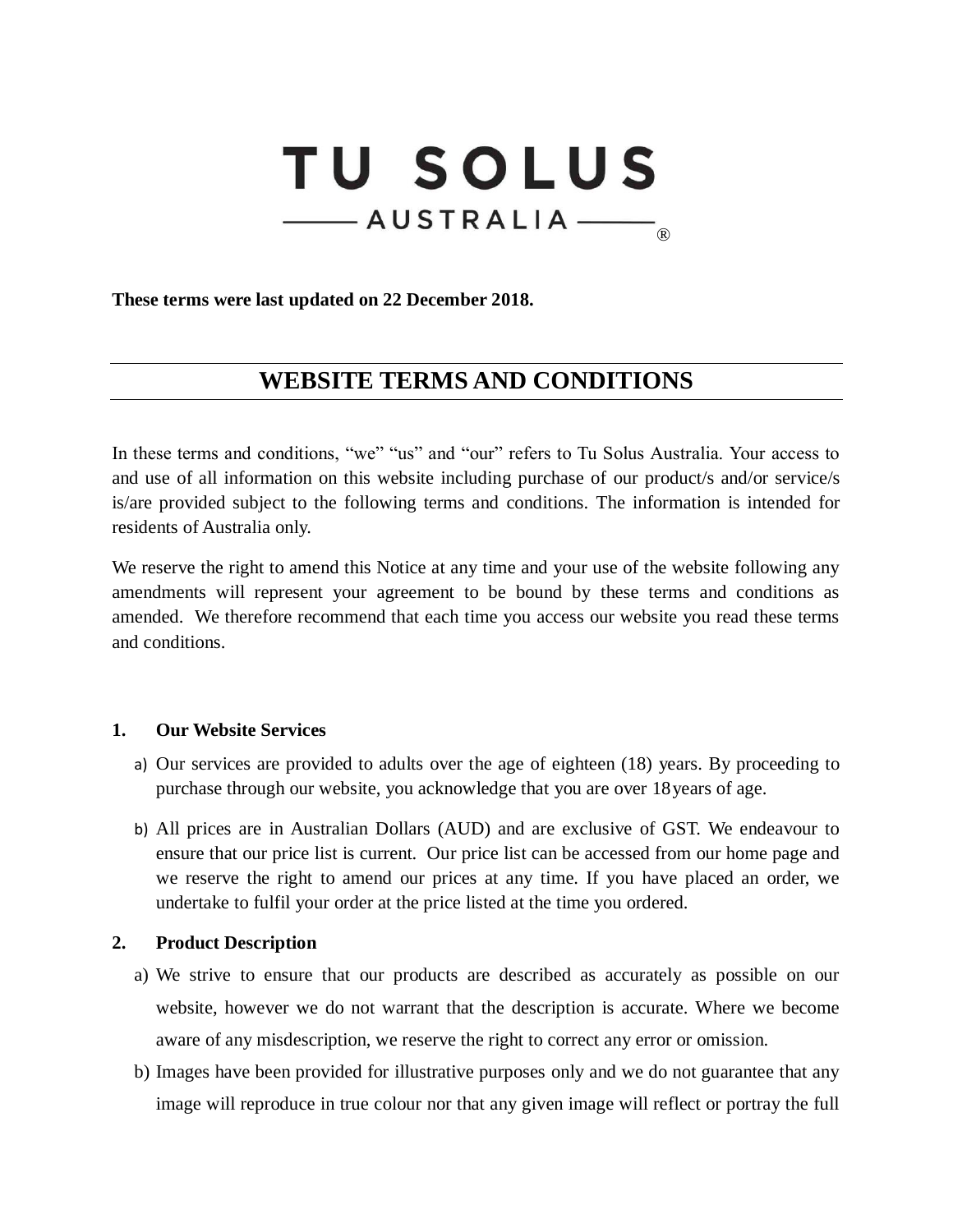# **TU SOLUS** -AUSTRALIA ®

**These terms were last updated on 22 December 2018.**

# **WEBSITE TERMS AND CONDITIONS**

In these terms and conditions, "we" "us" and "our" refers to Tu Solus Australia. Your access to and use of all information on this website including purchase of our product/s and/or service/s is/are provided subject to the following terms and conditions. The information is intended for residents of Australia only.

We reserve the right to amend this Notice at any time and your use of the website following any amendments will represent your agreement to be bound by these terms and conditions as amended. We therefore recommend that each time you access our website you read these terms and conditions.

## **1. Our Website Services**

- a) Our services are provided to adults over the age of eighteen (18) years. By proceeding to purchase through our website, you acknowledge that you are over 18years of age.
- b) All prices are in Australian Dollars (AUD) and are exclusive of GST. We endeavour to ensure that our price list is current. Our price list can be accessed from our home page and we reserve the right to amend our prices at any time. If you have placed an order, we undertake to fulfil your order at the price listed at the time you ordered.

## **2. Product Description**

- a) We strive to ensure that our products are described as accurately as possible on our website, however we do not warrant that the description is accurate. Where we become aware of any misdescription, we reserve the right to correct any error or omission.
- b) Images have been provided for illustrative purposes only and we do not guarantee that any image will reproduce in true colour nor that any given image will reflect or portray the full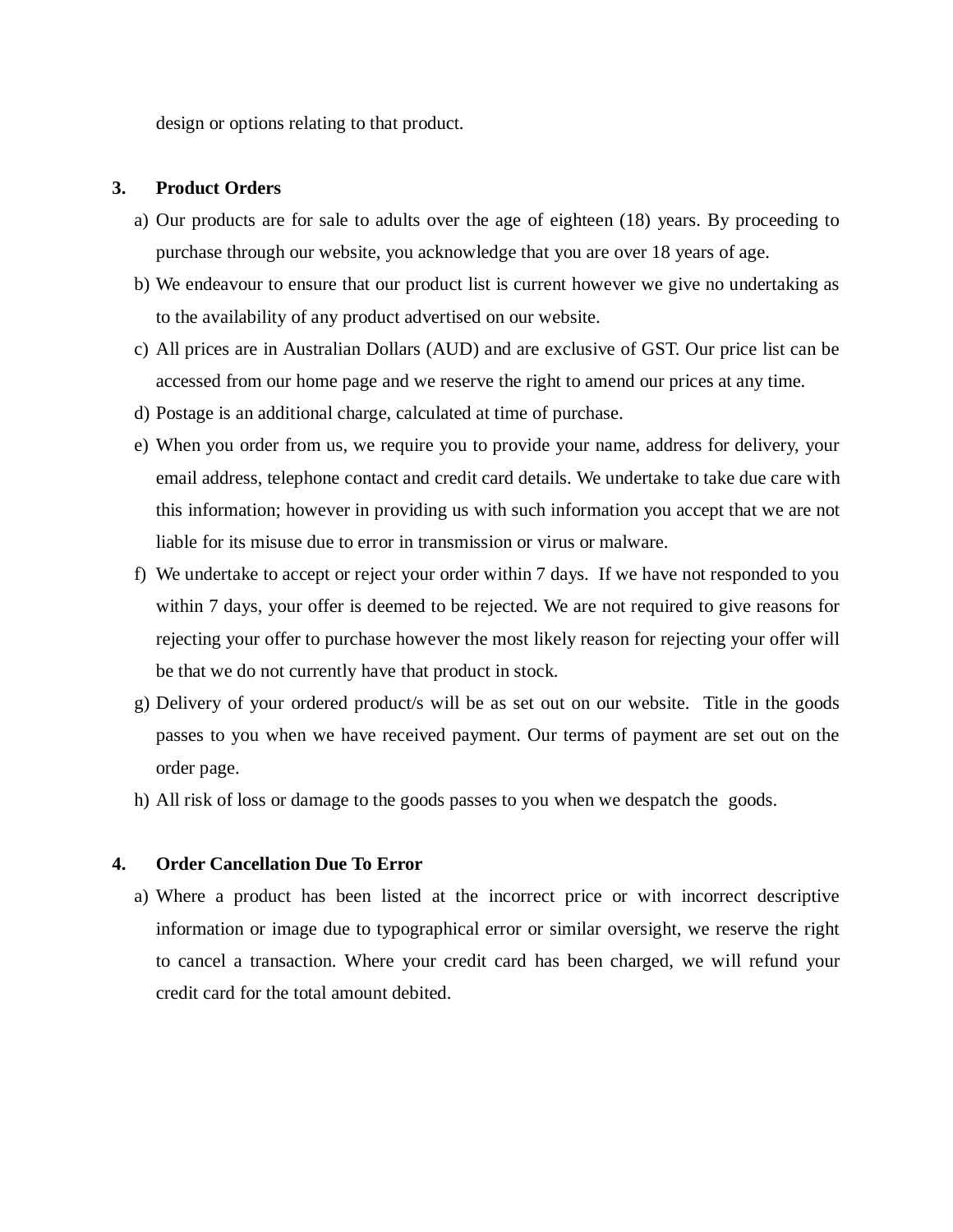design or options relating to that product.

#### **3. Product Orders**

- a) Our products are for sale to adults over the age of eighteen (18) years. By proceeding to purchase through our website, you acknowledge that you are over 18 years of age.
- b) We endeavour to ensure that our product list is current however we give no undertaking as to the availability of any product advertised on our website.
- c) All prices are in Australian Dollars (AUD) and are exclusive of GST. Our price list can be accessed from our home page and we reserve the right to amend our prices at any time.
- d) Postage is an additional charge, calculated at time of purchase.
- e) When you order from us, we require you to provide your name, address for delivery, your email address, telephone contact and credit card details. We undertake to take due care with this information; however in providing us with such information you accept that we are not liable for its misuse due to error in transmission or virus or malware.
- f) We undertake to accept or reject your order within 7 days. If we have not responded to you within 7 days, your offer is deemed to be rejected. We are not required to give reasons for rejecting your offer to purchase however the most likely reason for rejecting your offer will be that we do not currently have that product in stock.
- g) Delivery of your ordered product/s will be as set out on our website. Title in the goods passes to you when we have received payment. Our terms of payment are set out on the order page.
- h) All risk of loss or damage to the goods passes to you when we despatch the goods.

# **4. Order Cancellation Due To Error**

a) Where a product has been listed at the incorrect price or with incorrect descriptive information or image due to typographical error or similar oversight, we reserve the right to cancel a transaction. Where your credit card has been charged, we will refund your credit card for the total amount debited.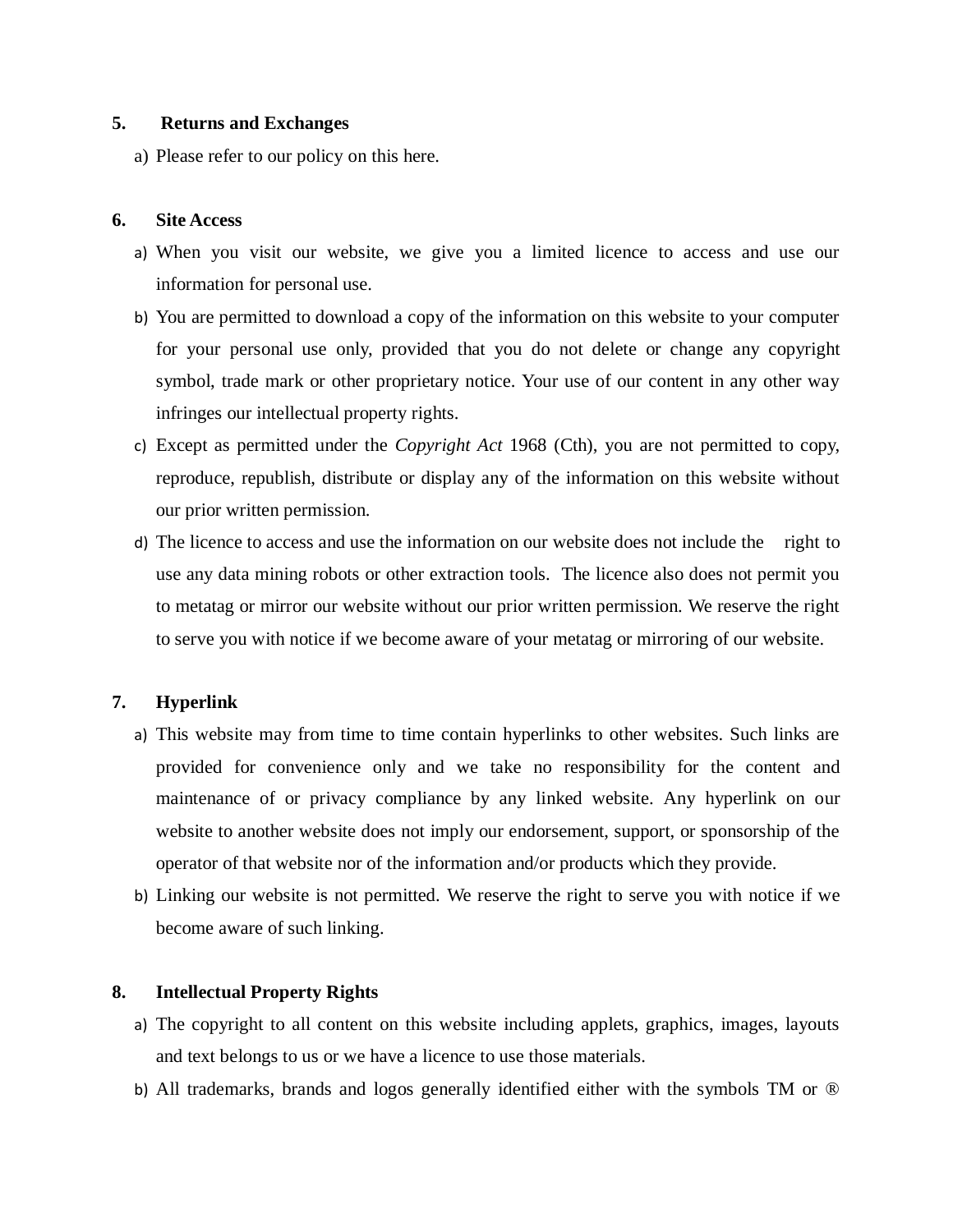#### **5. Returns and Exchanges**

a) Please refer to our policy on this here.

#### **6. Site Access**

- a) When you visit our website, we give you a limited licence to access and use our information for personal use.
- b) You are permitted to download a copy of the information on this website to your computer for your personal use only, provided that you do not delete or change any copyright symbol, trade mark or other proprietary notice. Your use of our content in any other way infringes our intellectual property rights.
- c) Except as permitted under the *Copyright Act* 1968 (Cth), you are not permitted to copy, reproduce, republish, distribute or display any of the information on this website without our prior written permission.
- d) The licence to access and use the information on our website does not include the right to use any data mining robots or other extraction tools. The licence also does not permit you to metatag or mirror our website without our prior written permission. We reserve the right to serve you with notice if we become aware of your metatag or mirroring of our website.

# **7. Hyperlink**

- a) This website may from time to time contain hyperlinks to other websites. Such links are provided for convenience only and we take no responsibility for the content and maintenance of or privacy compliance by any linked website. Any hyperlink on our website to another website does not imply our endorsement, support, or sponsorship of the operator of that website nor of the information and/or products which they provide.
- b) Linking our website is not permitted. We reserve the right to serve you with notice if we become aware of such linking.

## **8. Intellectual Property Rights**

- a) The copyright to all content on this website including applets, graphics, images, layouts and text belongs to us or we have a licence to use those materials.
- b) All trademarks, brands and logos generally identified either with the symbols TM or ®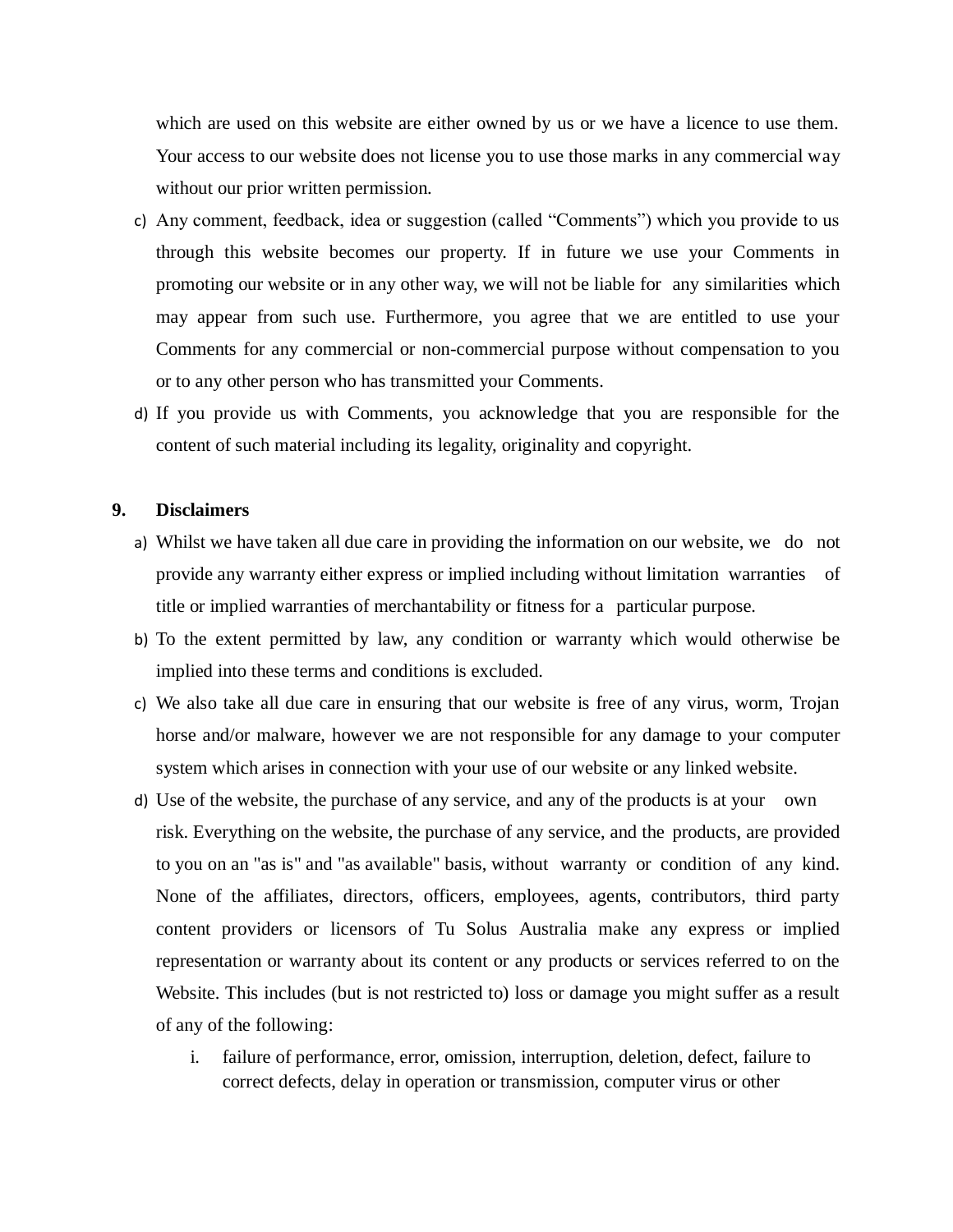which are used on this website are either owned by us or we have a licence to use them. Your access to our website does not license you to use those marks in any commercial way without our prior written permission.

- c) Any comment, feedback, idea or suggestion (called "Comments") which you provide to us through this website becomes our property. If in future we use your Comments in promoting our website or in any other way, we will not be liable for any similarities which may appear from such use. Furthermore, you agree that we are entitled to use your Comments for any commercial or non-commercial purpose without compensation to you or to any other person who has transmitted your Comments.
- d) If you provide us with Comments, you acknowledge that you are responsible for the content of such material including its legality, originality and copyright.

#### **9. Disclaimers**

- a) Whilst we have taken all due care in providing the information on our website, we do not provide any warranty either express or implied including without limitation warranties of title or implied warranties of merchantability or fitness for a particular purpose.
- b) To the extent permitted by law, any condition or warranty which would otherwise be implied into these terms and conditions is excluded.
- c) We also take all due care in ensuring that our website is free of any virus, worm, Trojan horse and/or malware, however we are not responsible for any damage to your computer system which arises in connection with your use of our website or any linked website.
- d) Use of the website, the purchase of any service, and any of the products is at your own risk. Everything on the website, the purchase of any service, and the products, are provided to you on an "as is" and "as available" basis, without warranty or condition of any kind. None of the affiliates, directors, officers, employees, agents, contributors, third party content providers or licensors of Tu Solus Australia make any express or implied representation or warranty about its content or any products or services referred to on the Website. This includes (but is not restricted to) loss or damage you might suffer as a result of any of the following:
	- i. failure of performance, error, omission, interruption, deletion, defect, failure to correct defects, delay in operation or transmission, computer virus or other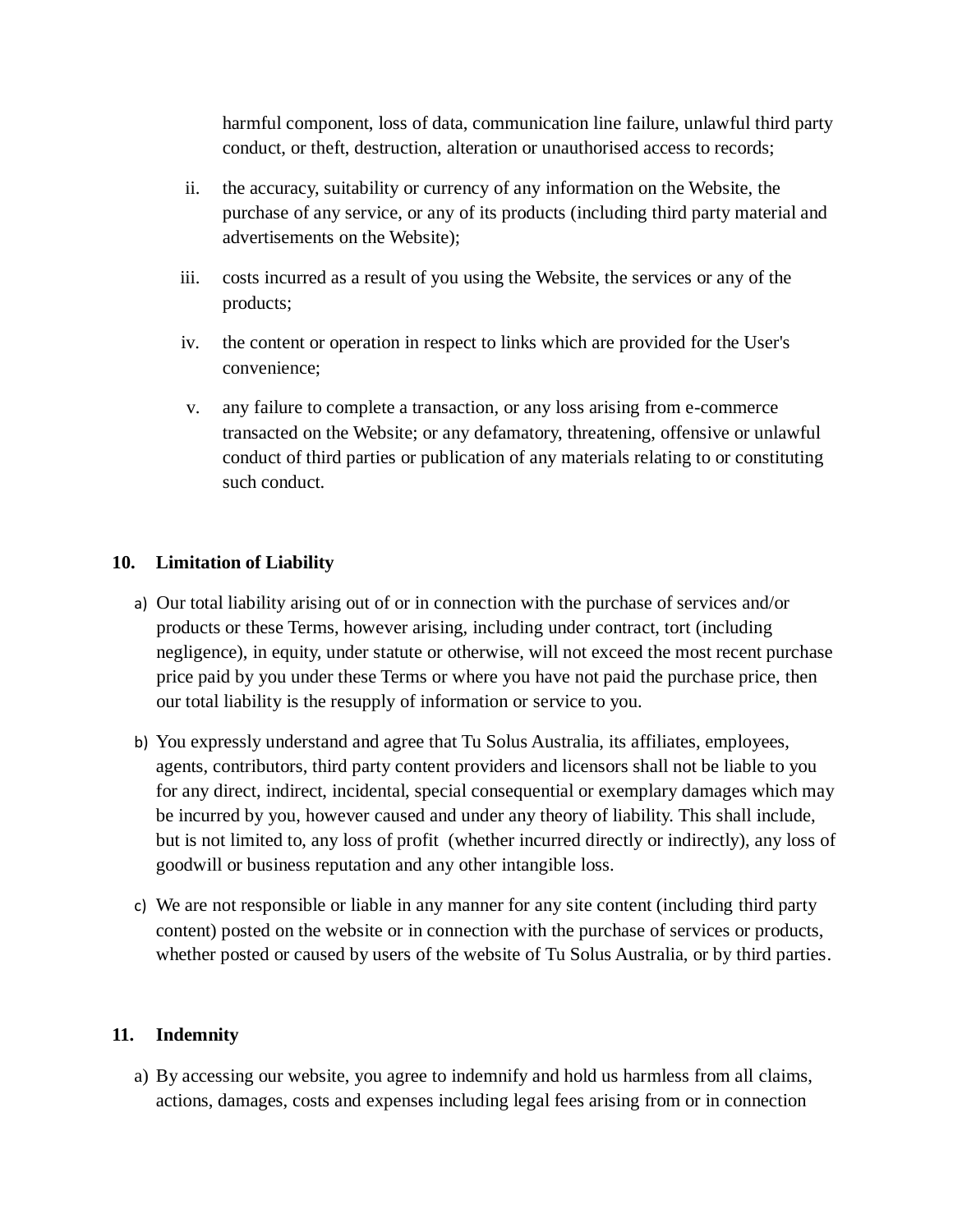harmful component, loss of data, communication line failure, unlawful third party conduct, or theft, destruction, alteration or unauthorised access to records;

- ii. the accuracy, suitability or currency of any information on the Website, the purchase of any service, or any of its products (including third party material and advertisements on the Website);
- iii. costs incurred as a result of you using the Website, the services or any of the products;
- iv. the content or operation in respect to links which are provided for the User's convenience;
- v. any failure to complete a transaction, or any loss arising from e-commerce transacted on the Website; or any defamatory, threatening, offensive or unlawful conduct of third parties or publication of any materials relating to or constituting such conduct.

# **10. Limitation of Liability**

- a) Our total liability arising out of or in connection with the purchase of services and/or products or these Terms, however arising, including under contract, tort (including negligence), in equity, under statute or otherwise, will not exceed the most recent purchase price paid by you under these Terms or where you have not paid the purchase price, then our total liability is the resupply of information or service to you.
- b) You expressly understand and agree that Tu Solus Australia, its affiliates, employees, agents, contributors, third party content providers and licensors shall not be liable to you for any direct, indirect, incidental, special consequential or exemplary damages which may be incurred by you, however caused and under any theory of liability. This shall include, but is not limited to, any loss of profit (whether incurred directly or indirectly), any loss of goodwill or business reputation and any other intangible loss.
- c) We are not responsible or liable in any manner for any site content (including third party content) posted on the website or in connection with the purchase of services or products, whether posted or caused by users of the website of Tu Solus Australia, or by third parties.

## **11. Indemnity**

a) By accessing our website, you agree to indemnify and hold us harmless from all claims, actions, damages, costs and expenses including legal fees arising from or in connection